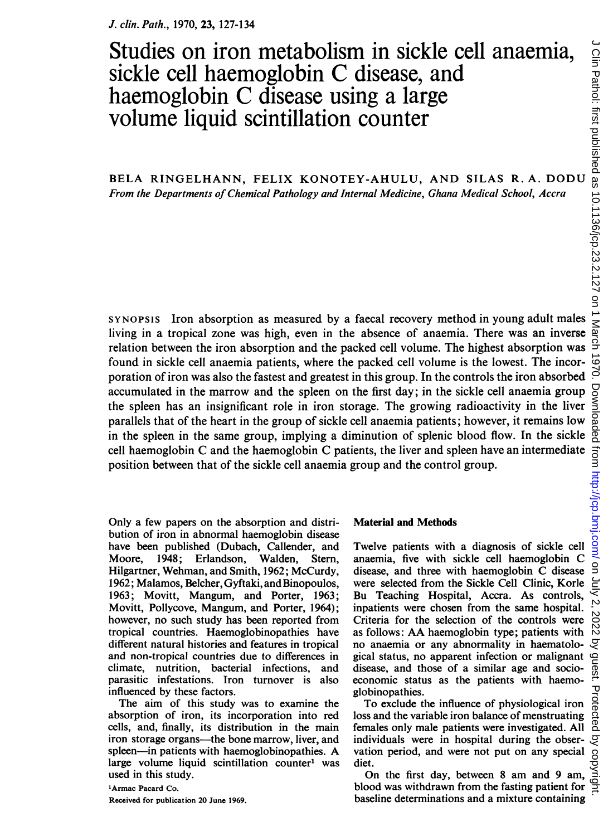## Studies on iron metabolism in sickle cell anaemia, sickle cell haemoglobin C disease, and haemoglobin C disease using <sup>a</sup> large volume liquid scintillation counter

BELA RINGELHANN, FELIX KONOTEY-AHULU, AND SILAS R. A. DODU From the Departments of Chemical Pathology and Internal Medicine, Ghana Medical School, Accra

SYNOPSIS Iron absorption as measured by a faecal recovery method in young adult males living in a tropical zone was high, even in the absence of anaemia. There was an inverse relation between the iron absorption and the packed cell volume. The highest absorption was found in sickle cell anaemia patients, where the packed cell volume is the lowest. The incorporation of iron was also the fastest and greatest in this group. In the controls the iron absorbed accumulated in the marrow and the spleen on the first day; in the sickle cell anaemia group the spleen has an insignificant role in iron storage. The growing radioactivity in the liver parallels that of the heart in the group of sickle cell anaemia patients; however, it remains low in the spleen in the same group, implying a diminution of splenic blood flow. In the sickle cell haemoglobin C and the haemoglobin C patients, the liver and spleen have an intermediate position between that of the sickle cell anaemia group and the control group.

Only a few papers on the absorption and distribution of iron in abnormal haemoglobin disease have been published (Dubach, Callender, and Moore, 1948; Erlandson, Walden, Stem, Hilgartner, Wehman, and Smith, 1962; McCurdy, 1962; Malamos, Belcher, Gyftaki, and Binopoulos, 1963; Movitt, Mangum, and Porter, 1963; Movitt, Pollycove, Mangum, and Porter, 1964); however, no such study has been reported from tropical countries. Haemoglobinopathies have different natural histories and features in tropical and non-tropical countries due to differences in climate, nutrition, bacterial infections, and parasitic infestations. Iron turnover is also influenced by these factors.

The aim of this study was to examine the absorption of iron, its incorporation into red cells, and, finally, its distribution in the main iron storage organs-the bone marrow, liver, and spleen-in patients with haemoglobinopathies. A large volume liquid scintillation counter' was used in this study.

### 'Armac Pacard Co. Received for publication 20 June 1969.

#### Material and Methods

Twelve patients with a diagnosis of sickle cell anaemia, five with sickle cell haemoglobin C disease, and three with haemoglobin C disease were selected from the Sickle Cell Clinic, Korle Bu Teaching Hospital, Accra. As controls, inpatients were chosen from the same hospital. Criteria for the selection of the controls were as follows: AA haemoglobin type; patients with no anaemia or any abnormality in haematological status, no apparent infection or malignant disease, and those of a similar age and socioeconomic status as the patients with haemoglobinopathies.

To exclude the influence of physiological iron loss and the variable iron balance of menstruating females only male patients were investigated. All individuals were in hospital during the obser-  $\mathcal{F}$ vation period, and were not put on any special diet.

On the first day, between <sup>8</sup> am and 9 am, On the first day, between 8 am and 9 am,  $\frac{S}{Q}$ <br>blood was withdrawn from the fasting patient for  $\frac{S}{Z}$ baseline determinations and a mixture containing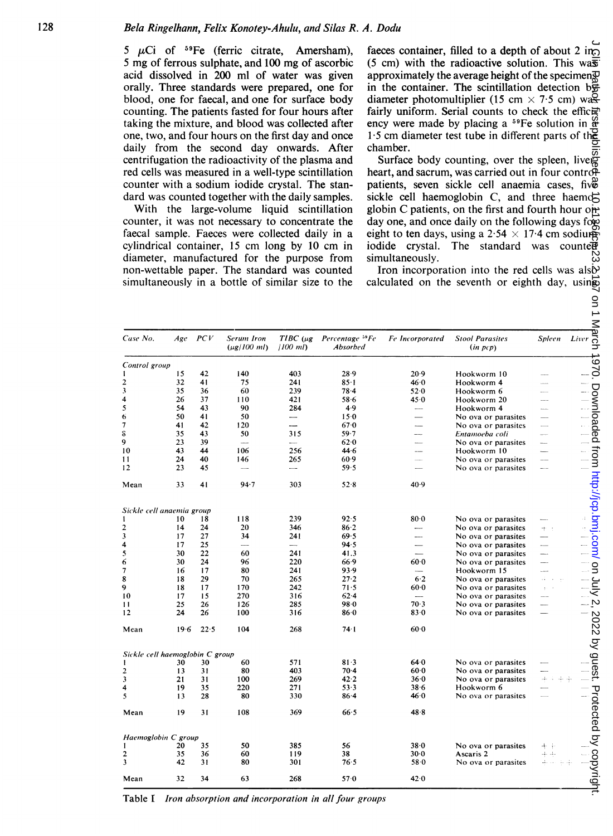|                                 |             |          | 5 $\mu$ Ci of <sup>59</sup> Fe (ferric citrate,<br>5 mg of ferrous sulphate, and 100 mg of ascorbic<br>acid dissolved in 200 ml of water was given<br>orally. Three standards were prepared, one for<br>blood, one for faecal, and one for surface body<br>counting. The patients fasted for four hours after<br>taking the mixture, and blood was collected after<br>one, two, and four hours on the first day and once<br>daily from the second day onwards. After<br>centrifugation the radioactivity of the plasma and<br>red cells was measured in a well-type scintillation<br>counter with a sodium iodide crystal. The stan-<br>dard was counted together with the daily samples.<br>With the large-volume liquid scintillation<br>counter, it was not necessary to concentrate the<br>faecal sample. Faeces were collected daily in a<br>cylindrical container, 15 cm long by 10 cm in<br>diameter, manufactured for the purpose from<br>non-wettable paper. The standard was counted<br>simultaneously in a bottle of similar size to the | Amersham),                      | faeces container, filled to a depth of about 2 in<br>$(5 \text{ cm})$ with the radioactive solution. This was<br>approximately the average height of the specimen<br>in the container. The scintillation detection $b\overline{\mathbf{\ddot{\pi}}}$<br>diameter photomultiplier (15 cm $\times$ 7.5 cm) was<br>fairly uniform. Serial counts to check the efficer-<br>ency were made by placing a $^{59}Fe$ solution in $\frac{6}{9}$<br>1.5 cm diameter test tube in different parts of the<br>chamber.<br>Surface body counting, over the spleen, liveg<br>heart, and sacrum, was carried out in four control-<br>patients, seven sickle cell anaemia cases, five<br>sickle cell haemoglobin C, and three haemog<br>globin C patients, on the first and fourth hour on-<br>day one, and once daily on the following days for<br>eight to ten days, using a $2.54 \times 17.4$ cm sodium<br>iodide crystal.<br>The standard was counter<br>simultaneously.<br>Iron incorporation into the red cells was alsb<br>calculated on the seventh or eighth day, using<br>$\mathsf{S}$ |                  |                                            |                          |                                                                    |
|---------------------------------|-------------|----------|-----------------------------------------------------------------------------------------------------------------------------------------------------------------------------------------------------------------------------------------------------------------------------------------------------------------------------------------------------------------------------------------------------------------------------------------------------------------------------------------------------------------------------------------------------------------------------------------------------------------------------------------------------------------------------------------------------------------------------------------------------------------------------------------------------------------------------------------------------------------------------------------------------------------------------------------------------------------------------------------------------------------------------------------------------|---------------------------------|----------------------------------------------------------------------------------------------------------------------------------------------------------------------------------------------------------------------------------------------------------------------------------------------------------------------------------------------------------------------------------------------------------------------------------------------------------------------------------------------------------------------------------------------------------------------------------------------------------------------------------------------------------------------------------------------------------------------------------------------------------------------------------------------------------------------------------------------------------------------------------------------------------------------------------------------------------------------------------------------------------------------------------------------------------------------------------|------------------|--------------------------------------------|--------------------------|--------------------------------------------------------------------|
| Case No.                        | $Age$ $PCV$ |          | Serum Iron<br>$(\mu g / 100 \; \text{ml})$                                                                                                                                                                                                                                                                                                                                                                                                                                                                                                                                                                                                                                                                                                                                                                                                                                                                                                                                                                                                          | (100 ml)                        | TIBC (µg Percentage 59 Fe<br>Absorbed                                                                                                                                                                                                                                                                                                                                                                                                                                                                                                                                                                                                                                                                                                                                                                                                                                                                                                                                                                                                                                            | Fe Incorporated  | <b>Stool Parasites</b><br>(in pcp)         | Spleen                   | $\frac{\sum_{\text{Liver}}}{\sum_{\substack{\text{B}}{\text{D}}}}$ |
| Control group                   |             |          |                                                                                                                                                                                                                                                                                                                                                                                                                                                                                                                                                                                                                                                                                                                                                                                                                                                                                                                                                                                                                                                     |                                 |                                                                                                                                                                                                                                                                                                                                                                                                                                                                                                                                                                                                                                                                                                                                                                                                                                                                                                                                                                                                                                                                                  |                  |                                            |                          | 026                                                                |
| Ŧ                               | 15          | 42       | 140                                                                                                                                                                                                                                                                                                                                                                                                                                                                                                                                                                                                                                                                                                                                                                                                                                                                                                                                                                                                                                                 | 403                             | 28.9                                                                                                                                                                                                                                                                                                                                                                                                                                                                                                                                                                                                                                                                                                                                                                                                                                                                                                                                                                                                                                                                             | $20-9$           | Hookworm 10                                |                          |                                                                    |
| $\overline{\mathbf{c}}$         | 32          | 41       | 75                                                                                                                                                                                                                                                                                                                                                                                                                                                                                                                                                                                                                                                                                                                                                                                                                                                                                                                                                                                                                                                  | 241                             | $85 - 1$                                                                                                                                                                                                                                                                                                                                                                                                                                                                                                                                                                                                                                                                                                                                                                                                                                                                                                                                                                                                                                                                         | 46.0             | Hookworm 4                                 |                          |                                                                    |
| 3<br>4                          | 35<br>26    | 36<br>37 | 60<br>110                                                                                                                                                                                                                                                                                                                                                                                                                                                                                                                                                                                                                                                                                                                                                                                                                                                                                                                                                                                                                                           | 239<br>421                      | $78-4$<br>58.6                                                                                                                                                                                                                                                                                                                                                                                                                                                                                                                                                                                                                                                                                                                                                                                                                                                                                                                                                                                                                                                                   | 52.0<br>45.0     | Hookworm 6<br>Hookworm 20                  | $\sim$                   | Downloaded                                                         |
| 5                               | 54          | 43       | 90                                                                                                                                                                                                                                                                                                                                                                                                                                                                                                                                                                                                                                                                                                                                                                                                                                                                                                                                                                                                                                                  | 284                             | 4.9                                                                                                                                                                                                                                                                                                                                                                                                                                                                                                                                                                                                                                                                                                                                                                                                                                                                                                                                                                                                                                                                              |                  | Hookworm 4                                 | $\sim$                   |                                                                    |
| 6                               | 50          | 41       | 50                                                                                                                                                                                                                                                                                                                                                                                                                                                                                                                                                                                                                                                                                                                                                                                                                                                                                                                                                                                                                                                  | -                               | 150                                                                                                                                                                                                                                                                                                                                                                                                                                                                                                                                                                                                                                                                                                                                                                                                                                                                                                                                                                                                                                                                              |                  | No ova or parasites                        |                          |                                                                    |
| 7                               | 41          | 42       | 120                                                                                                                                                                                                                                                                                                                                                                                                                                                                                                                                                                                                                                                                                                                                                                                                                                                                                                                                                                                                                                                 | -                               | 67.0                                                                                                                                                                                                                                                                                                                                                                                                                                                                                                                                                                                                                                                                                                                                                                                                                                                                                                                                                                                                                                                                             | -                | No ova or parasites                        | $\overline{\phantom{a}}$ |                                                                    |
| s                               | 35          | 43       | 50                                                                                                                                                                                                                                                                                                                                                                                                                                                                                                                                                                                                                                                                                                                                                                                                                                                                                                                                                                                                                                                  | 315                             | $59 - 7$                                                                                                                                                                                                                                                                                                                                                                                                                                                                                                                                                                                                                                                                                                                                                                                                                                                                                                                                                                                                                                                                         |                  | Entamoeba coli                             |                          |                                                                    |
| 9                               | 23          | 39       | $\sim$                                                                                                                                                                                                                                                                                                                                                                                                                                                                                                                                                                                                                                                                                                                                                                                                                                                                                                                                                                                                                                              | ----                            | 62.0                                                                                                                                                                                                                                                                                                                                                                                                                                                                                                                                                                                                                                                                                                                                                                                                                                                                                                                                                                                                                                                                             |                  | No ova or parasites                        | $\overline{a}$           |                                                                    |
| 10                              | 43          | 44       | 106                                                                                                                                                                                                                                                                                                                                                                                                                                                                                                                                                                                                                                                                                                                                                                                                                                                                                                                                                                                                                                                 | 256                             | 44.6                                                                                                                                                                                                                                                                                                                                                                                                                                                                                                                                                                                                                                                                                                                                                                                                                                                                                                                                                                                                                                                                             |                  | Hookworm 10                                | $\sim$                   |                                                                    |
| 11<br>12                        | 24<br>23    | 40<br>45 | 146<br>---                                                                                                                                                                                                                                                                                                                                                                                                                                                                                                                                                                                                                                                                                                                                                                                                                                                                                                                                                                                                                                          | 265<br>$\overline{\phantom{0}}$ | 60.9<br>59.5                                                                                                                                                                                                                                                                                                                                                                                                                                                                                                                                                                                                                                                                                                                                                                                                                                                                                                                                                                                                                                                                     |                  | No ova or parasites<br>No ova or parasites | $\sim$                   |                                                                    |
|                                 |             |          |                                                                                                                                                                                                                                                                                                                                                                                                                                                                                                                                                                                                                                                                                                                                                                                                                                                                                                                                                                                                                                                     |                                 |                                                                                                                                                                                                                                                                                                                                                                                                                                                                                                                                                                                                                                                                                                                                                                                                                                                                                                                                                                                                                                                                                  |                  |                                            |                          |                                                                    |
| Mean                            | 33          | 41       | 94.7                                                                                                                                                                                                                                                                                                                                                                                                                                                                                                                                                                                                                                                                                                                                                                                                                                                                                                                                                                                                                                                | 303                             | 52.8                                                                                                                                                                                                                                                                                                                                                                                                                                                                                                                                                                                                                                                                                                                                                                                                                                                                                                                                                                                                                                                                             | 40.9             |                                            |                          | from http://jcp.bmj.com/                                           |
| Sickle cell anaemia group       |             |          |                                                                                                                                                                                                                                                                                                                                                                                                                                                                                                                                                                                                                                                                                                                                                                                                                                                                                                                                                                                                                                                     |                                 |                                                                                                                                                                                                                                                                                                                                                                                                                                                                                                                                                                                                                                                                                                                                                                                                                                                                                                                                                                                                                                                                                  |                  |                                            |                          |                                                                    |
| 1                               | 10          | 18       | 118                                                                                                                                                                                                                                                                                                                                                                                                                                                                                                                                                                                                                                                                                                                                                                                                                                                                                                                                                                                                                                                 | 239                             | 92.5                                                                                                                                                                                                                                                                                                                                                                                                                                                                                                                                                                                                                                                                                                                                                                                                                                                                                                                                                                                                                                                                             | $80-0$           | No ova or parasites                        |                          |                                                                    |
| 2                               | 14          | 24       | 20                                                                                                                                                                                                                                                                                                                                                                                                                                                                                                                                                                                                                                                                                                                                                                                                                                                                                                                                                                                                                                                  | 346                             | $86 - 2$                                                                                                                                                                                                                                                                                                                                                                                                                                                                                                                                                                                                                                                                                                                                                                                                                                                                                                                                                                                                                                                                         |                  | No ova or parasites                        | H.,                      |                                                                    |
| 3                               | 17          | 27       | 34                                                                                                                                                                                                                                                                                                                                                                                                                                                                                                                                                                                                                                                                                                                                                                                                                                                                                                                                                                                                                                                  | 241                             | 69.5                                                                                                                                                                                                                                                                                                                                                                                                                                                                                                                                                                                                                                                                                                                                                                                                                                                                                                                                                                                                                                                                             |                  | No ova or parasites                        |                          |                                                                    |
| 4                               | 17          | 25       |                                                                                                                                                                                                                                                                                                                                                                                                                                                                                                                                                                                                                                                                                                                                                                                                                                                                                                                                                                                                                                                     |                                 | 94.5                                                                                                                                                                                                                                                                                                                                                                                                                                                                                                                                                                                                                                                                                                                                                                                                                                                                                                                                                                                                                                                                             |                  | No ova or parasites                        |                          |                                                                    |
| 5<br>6                          | 30<br>30    | 22<br>24 | 60<br>96                                                                                                                                                                                                                                                                                                                                                                                                                                                                                                                                                                                                                                                                                                                                                                                                                                                                                                                                                                                                                                            | 241<br>220                      | 41.3<br>66.9                                                                                                                                                                                                                                                                                                                                                                                                                                                                                                                                                                                                                                                                                                                                                                                                                                                                                                                                                                                                                                                                     | 60.0             | No ova or parasites<br>No ova or parasites |                          |                                                                    |
| $\overline{\boldsymbol{\eta}}$  | 16          | 17       | 80                                                                                                                                                                                                                                                                                                                                                                                                                                                                                                                                                                                                                                                                                                                                                                                                                                                                                                                                                                                                                                                  | 241                             | 93.9                                                                                                                                                                                                                                                                                                                                                                                                                                                                                                                                                                                                                                                                                                                                                                                                                                                                                                                                                                                                                                                                             |                  | Hookworm 15                                |                          | $\overline{S}$                                                     |
| 8                               | 18          | 29       | 70                                                                                                                                                                                                                                                                                                                                                                                                                                                                                                                                                                                                                                                                                                                                                                                                                                                                                                                                                                                                                                                  | 265                             | 27.2                                                                                                                                                                                                                                                                                                                                                                                                                                                                                                                                                                                                                                                                                                                                                                                                                                                                                                                                                                                                                                                                             | $6-2$            | No ova or parasites                        |                          |                                                                    |
| 9                               | 18          | 17       | 170                                                                                                                                                                                                                                                                                                                                                                                                                                                                                                                                                                                                                                                                                                                                                                                                                                                                                                                                                                                                                                                 | 242                             | 71.5                                                                                                                                                                                                                                                                                                                                                                                                                                                                                                                                                                                                                                                                                                                                                                                                                                                                                                                                                                                                                                                                             | $60-0$           | No ova or parasites                        |                          |                                                                    |
| 10                              | 17          | 15       | 270                                                                                                                                                                                                                                                                                                                                                                                                                                                                                                                                                                                                                                                                                                                                                                                                                                                                                                                                                                                                                                                 | 316                             | 62.4                                                                                                                                                                                                                                                                                                                                                                                                                                                                                                                                                                                                                                                                                                                                                                                                                                                                                                                                                                                                                                                                             | 70.3             | No ova or parasites                        |                          |                                                                    |
| 11<br>12                        | 25<br>24    | 26<br>26 | 126<br>100                                                                                                                                                                                                                                                                                                                                                                                                                                                                                                                                                                                                                                                                                                                                                                                                                                                                                                                                                                                                                                          | 285<br>316                      | 98.0<br>86.0                                                                                                                                                                                                                                                                                                                                                                                                                                                                                                                                                                                                                                                                                                                                                                                                                                                                                                                                                                                                                                                                     | 83.0             | No ova or parasites<br>No ova or parasites |                          |                                                                    |
| Mean                            | $19-6$      | 22.5     | 104                                                                                                                                                                                                                                                                                                                                                                                                                                                                                                                                                                                                                                                                                                                                                                                                                                                                                                                                                                                                                                                 | 268                             | 74.1                                                                                                                                                                                                                                                                                                                                                                                                                                                                                                                                                                                                                                                                                                                                                                                                                                                                                                                                                                                                                                                                             | 60.0             |                                            |                          | 2022 by guest.                                                     |
| Sickle cell haemoglobin C group |             |          |                                                                                                                                                                                                                                                                                                                                                                                                                                                                                                                                                                                                                                                                                                                                                                                                                                                                                                                                                                                                                                                     |                                 |                                                                                                                                                                                                                                                                                                                                                                                                                                                                                                                                                                                                                                                                                                                                                                                                                                                                                                                                                                                                                                                                                  |                  |                                            |                          |                                                                    |
| 1                               | 30          | 30       | 60                                                                                                                                                                                                                                                                                                                                                                                                                                                                                                                                                                                                                                                                                                                                                                                                                                                                                                                                                                                                                                                  | 571                             | 81.3                                                                                                                                                                                                                                                                                                                                                                                                                                                                                                                                                                                                                                                                                                                                                                                                                                                                                                                                                                                                                                                                             | 64.0             | No ova or parasites                        |                          |                                                                    |
| $\overline{\mathbf{c}}$         | 13          | 31       | 80                                                                                                                                                                                                                                                                                                                                                                                                                                                                                                                                                                                                                                                                                                                                                                                                                                                                                                                                                                                                                                                  | 403                             | $70-4$                                                                                                                                                                                                                                                                                                                                                                                                                                                                                                                                                                                                                                                                                                                                                                                                                                                                                                                                                                                                                                                                           | 60.0             | No ova or parasites                        |                          |                                                                    |
| 3                               | 21          | 31       | 100                                                                                                                                                                                                                                                                                                                                                                                                                                                                                                                                                                                                                                                                                                                                                                                                                                                                                                                                                                                                                                                 | 269                             | 42.2                                                                                                                                                                                                                                                                                                                                                                                                                                                                                                                                                                                                                                                                                                                                                                                                                                                                                                                                                                                                                                                                             | 36.0             | No ova or parasites                        | $\pm$                    |                                                                    |
| 4<br>5                          | 19<br>13    | 35<br>28 | 220<br>80                                                                                                                                                                                                                                                                                                                                                                                                                                                                                                                                                                                                                                                                                                                                                                                                                                                                                                                                                                                                                                           | 271<br>330                      | 53.3<br>$86 - 4$                                                                                                                                                                                                                                                                                                                                                                                                                                                                                                                                                                                                                                                                                                                                                                                                                                                                                                                                                                                                                                                                 | 38.6<br>46.0     | Hookworm 6<br>No ova or parasites          |                          |                                                                    |
| Mean                            | 19          | 31       | 108                                                                                                                                                                                                                                                                                                                                                                                                                                                                                                                                                                                                                                                                                                                                                                                                                                                                                                                                                                                                                                                 | 369                             | 66.5                                                                                                                                                                                                                                                                                                                                                                                                                                                                                                                                                                                                                                                                                                                                                                                                                                                                                                                                                                                                                                                                             | 48.8             |                                            |                          | Protected by copyright.                                            |
| Haemoglobin C group             |             |          |                                                                                                                                                                                                                                                                                                                                                                                                                                                                                                                                                                                                                                                                                                                                                                                                                                                                                                                                                                                                                                                     |                                 |                                                                                                                                                                                                                                                                                                                                                                                                                                                                                                                                                                                                                                                                                                                                                                                                                                                                                                                                                                                                                                                                                  |                  |                                            |                          |                                                                    |
| 1                               | 20          | 35       | 50                                                                                                                                                                                                                                                                                                                                                                                                                                                                                                                                                                                                                                                                                                                                                                                                                                                                                                                                                                                                                                                  | 385                             | 56                                                                                                                                                                                                                                                                                                                                                                                                                                                                                                                                                                                                                                                                                                                                                                                                                                                                                                                                                                                                                                                                               | 38.0             | No ova or parasites                        | $+ +$                    |                                                                    |
| 2                               | 35          | 36       | 60                                                                                                                                                                                                                                                                                                                                                                                                                                                                                                                                                                                                                                                                                                                                                                                                                                                                                                                                                                                                                                                  | 119                             | 38                                                                                                                                                                                                                                                                                                                                                                                                                                                                                                                                                                                                                                                                                                                                                                                                                                                                                                                                                                                                                                                                               | $30-0$           | Ascaris 2                                  |                          |                                                                    |
| 3<br>Mean                       | 42<br>32    | 31<br>34 | 80<br>63                                                                                                                                                                                                                                                                                                                                                                                                                                                                                                                                                                                                                                                                                                                                                                                                                                                                                                                                                                                                                                            | 301<br>268                      | 76.5<br>57.0                                                                                                                                                                                                                                                                                                                                                                                                                                                                                                                                                                                                                                                                                                                                                                                                                                                                                                                                                                                                                                                                     | $58 - 0$<br>42.0 | No ova or parasites                        |                          |                                                                    |
|                                 |             |          |                                                                                                                                                                                                                                                                                                                                                                                                                                                                                                                                                                                                                                                                                                                                                                                                                                                                                                                                                                                                                                                     |                                 |                                                                                                                                                                                                                                                                                                                                                                                                                                                                                                                                                                                                                                                                                                                                                                                                                                                                                                                                                                                                                                                                                  |                  |                                            |                          |                                                                    |

Table I Iron absorption and incorporation in all four groups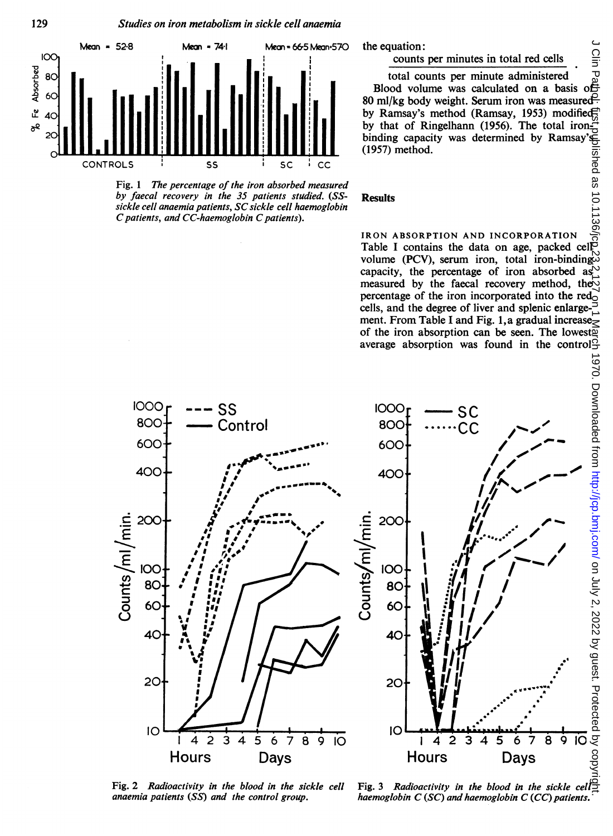

129

Fig. <sup>1</sup> The percentage of the iron absorbed measured by faecal recovery in the 35 patients studied. (SSsickle cell anaemia patients, SC sickle cell haemoglobin C patients, and CC-haemoglobin C patients).

the equation:

#### counts per minutes in total red cells

total counts per minute administered Blood volume was calculated on a basis of 80 ml/kg body weight. Serum iron was measured by Ramsay's method (Ramsay, 1953) modified by that of Ringelhann (1956). The total ironbinding capacity was determined by Ramsay's (1957) method.

#### Results

IRON ABSORPTION AND INCORPORATION Table <sup>I</sup> contains the data on age, packed cell volume (PCV), serum iron, total iron-binding. capacity, the percentage of iron absorbed as  $\heartsuit$ measured by the faecal recovery method, the percentage of the iron incorporated into the red<sub>o</sub> cells, and the degree of liver and splenic enlargement. From Table I and Fig. 1, a gradual increaseof the iron absorption can be seen. The lowest<sup>of</sup> average absorption was found in the control



Fig. 2 Radioactivity in the blood in the sickle cell Fig. 3 Radioactivity in the blood in the sickle cell $\frac{1}{2}$ anaemia patients  $(SS)$  and the control group. haemoglobin  $C (SC)$  and haemoglobin  $C (CC)$  patients.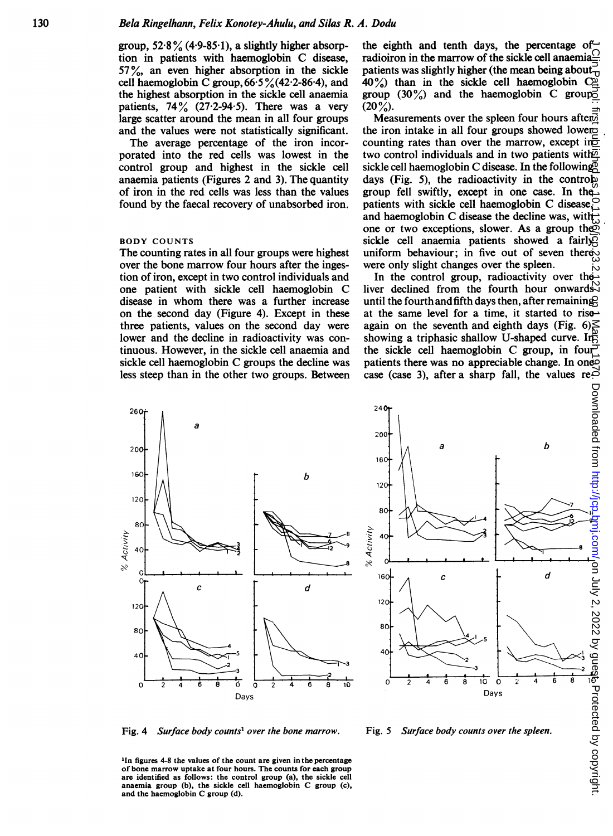group,  $52.8\%$  (4.9-85.1), a slightly higher absorption in patients with haemoglobin C disease, 57%, an even higher absorption in the sickle cell haemoglobin C group,  $66.5\frac{9}{6}(42.2-86.4)$ , and the highest absorption in the sickle cell anaemia patients,  $74\frac{9}{6}$  (27.2-94.5). There was a very large scatter around the mean in all four groups and the values were not statistically significant.

The average percentage of the iron incorporated into the red cells was lowest in the control group and highest in the sickle cell anaemia patients (Figures 2 and 3). The quantity of iron in the red cells was less than the values found by the faecal recovery of unabsorbed iron.

#### BODY COUNTS

The counting rates in all four groups were highest over the bone marrow four hours after the ingestion of iron, except in two control individuals and one patient with sickle cell haemoglobin C disease in whom there was a further increase on the second day (Figure 4). Except in these three patients, values on the second day were lower and the decline in radioactivity was continuous. However, in the sickle cell anaemia and sickle cell haemoglobin C groups the decline was less steep than in the other two groups. Between the eighth and tenth days, the percentage of radioiron in the marrow of the sickle cell anaemia $\frac{O}{\epsilon}$ patients was slightly higher (the mean being about $\vec{\tau}$  $40\%$ ) than in the sickle cell haemoglobin  $C<sub>2</sub>$ group (30%) and the haemoglobin C group  $(20\%)$ .

Measurements over the spleen four hours after. the iron intake in all four groups showed lower counting rates than over the marrow, except in $\overline{\sigma}$ two control individuals and in two patients with  $\overline{p}$ sickle cell haemoglobin C disease. In the following days (Fig. 5), the radioactivity in the control group fell swiftly, except in one case. In the patients with sickle cell haemoglobin C disease, and haemoglobin C disease the decline was, with  $\overline{ }$ one or two exceptions, slower. As a group the sickle cell anaemia patients showed a fairly uniform behaviour; in five out of seven thereowere only slight changes over the spleen.

In the control group, radioactivity over the liver declined from the fourth hour onwards. until the fourth and fifth days then, after remaining? at the same level for a time, it started to rise again on the seventh and eighth days (Fig. 6) $\leq$ showing a triphasic shallow U-shaped curve. In the sickle cell haemoglobin C group, in fourpatients there was no appreciable change. In one case (case 3), after a sharp fall, the values re $\tilde{\circ}$ 





Fig. 4 Surface body counts<sup>1</sup> over the bone marrow. Fig. 5 Surface body counts over the spleen.

<sup>1</sup>In figures 4-8 the values of the count are given in the percentage of bone marrow uptake at four hours. The counts for each group are identified as follows: the control group (a), the sickle cell anaemia group (b), the sickle cell haemoglobin C group (c), and the haemoglobin C group (d).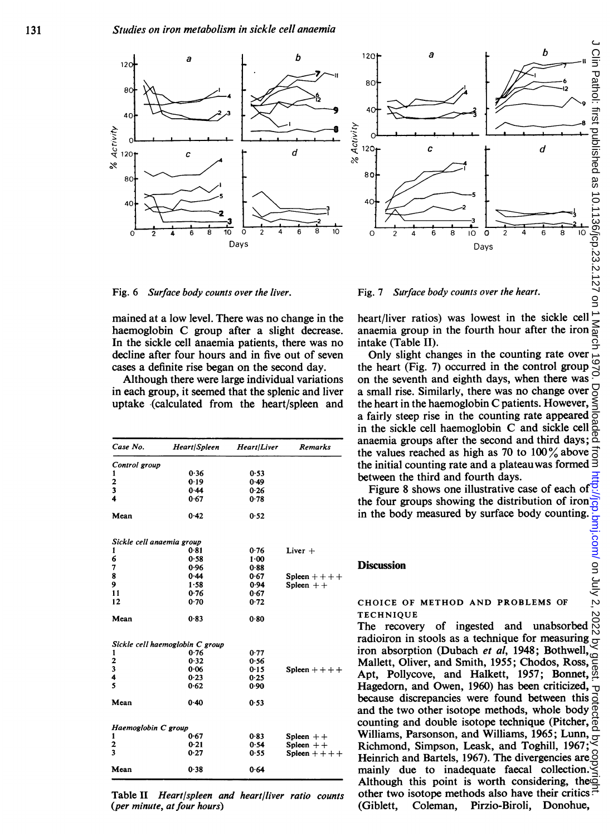

Fig. 6 Surface body counts over the liver.

mained at a low level. There was no change in the haemoglobin C group after <sup>a</sup> slight decrease. In the sickle cell anaemia patients, there was no decline after four hours and in five out of seven cases a definite rise began on the second day.

Although there were large individual variations in each group, it seemed that the splenic and liver uptake (calculated from the heart/spleen and

| Case No.                  | Heart/Spleen                    | Heart/Liver | <b>Remarks</b>    |
|---------------------------|---------------------------------|-------------|-------------------|
| Control group             |                                 |             |                   |
| 1                         | 0.36                            | 0.53        |                   |
| $\frac{2}{3}$             | 0.19                            | 0.49        |                   |
|                           | 0.44                            | 0.26        |                   |
| 4                         | 0.67                            | 0.78        |                   |
| Mean                      | 0.42                            | 0.52        |                   |
| Sickle cell anaemia group |                                 |             |                   |
| 1                         | 0.81                            | 0.76        | Liver $+$         |
| 6                         | 0.58                            | $1 - 00$    |                   |
| 7                         | 0.96                            | 0.88        |                   |
| 8                         | 0.44                            | 0.67        | Spleen $++++$     |
| 9                         | 1.58                            | 0.94        | Spleen $++$       |
| 11                        | 0.76                            | 0.67        |                   |
| 12                        | 0.70                            | 0.72        |                   |
| Mean                      | 0.83                            | 0.80        |                   |
|                           | Sickle cell haemoglobin C group |             |                   |
| 1                         | 0.76                            | 0.77        |                   |
| 2                         | 0.32                            | 0.56        |                   |
| 3                         | 0.06                            | 0.15        | Spleen $++$ + $+$ |
| 4                         | 0.23                            | 0.25        |                   |
| 5                         | 0.62                            | 0.90        |                   |
| Mean                      | 0.40                            | 0.53        |                   |
| Haemoglobin C group       |                                 |             |                   |
| 1                         | 0.67                            | 0.83        | Spleen $++$       |
| $\overline{\mathbf{c}}$   | 0.21                            | 0.54        | Spleen $++$       |
| 3                         | 0.27                            | 0.55        | Spleen $++$       |
| Mean                      | 0.38                            | 0.64        |                   |

Table II Heart/spleen and heart/liver ratio counts (per minute, at four hours)

Fig. 7 Surface body counts over the heart.

heart/liver ratios) was lowest in the sickle cell anaemia group in the fourth hour after the iron intake (Table II).

Only slight changes in the counting rate over the heart (Fig. 7) occurred in the control group on the seventh and eighth days, when there was a small rise. Similarly, there was no change over  $\overline{S}$ the heart in the haemoglobin C patients. However,  $\leq$ a fairly steep rise in the counting rate appeared  $\overline{5}$ in the sickle cell haemoglobin C and sickle cell  $\frac{8}{9}$ anaemia groups after the second and third days; the values reached as high as 70 to 100% above  $\frac{1}{0}$ the initial counting rate and a plateau was formed  $\exists$ between the third and fourth days.

Figure 8 shows one illustrative case of each of  $\frac{1}{2}$ the four groups showing the distribution of iron $\frac{1}{\Omega}$ in the body measured by surface body counting.  $\frac{6}{5}$ 

**Discussion** 

# CHOICE OF METHOD AND PROBLEMS OF TECHNIQUE Discussion<br>
Discussion<br>
CHOICE OF METHOD AND PROBLEMS OF<br>
TECHNIQUE<br>
The recovery of ingested and unabsorbed  $\frac{10}{10}$

radioiron in stools as a technique for measuring  $\frac{1}{\sigma}$ iron absorption (Dubach et al, 1948; Bothwell, Mallett, Oliver, and Smith, 1955; Chodos, Ross,  $\frac{6}{9}$ Apt, Pollycove, and Halkett, 1957; Bonnet,  $\frac{3}{4}$ Hagedorn, and Owen, 1960) has been criticized,  $\frac{1}{10}$ because discrepancies were found between this  $\vec{o}$ and the two other isotope methods, whole body counting and double isotope technique (Pitcher,  $\overline{\phi}$ ) Williams, Parsonson, and Williams, 1965; Lunn, Richmond, Simpson, Leask, and Toghill, 1967; Heinrich and Bartels, 1967). The divergencies are $\frac{3}{2}$ mainly due to inadequate faecal collection. Although this point is worth considering, the other two isotope methods also have their critics. $\pm$ (Giblett, Coleman, Pirzio-Biroli, Donohue,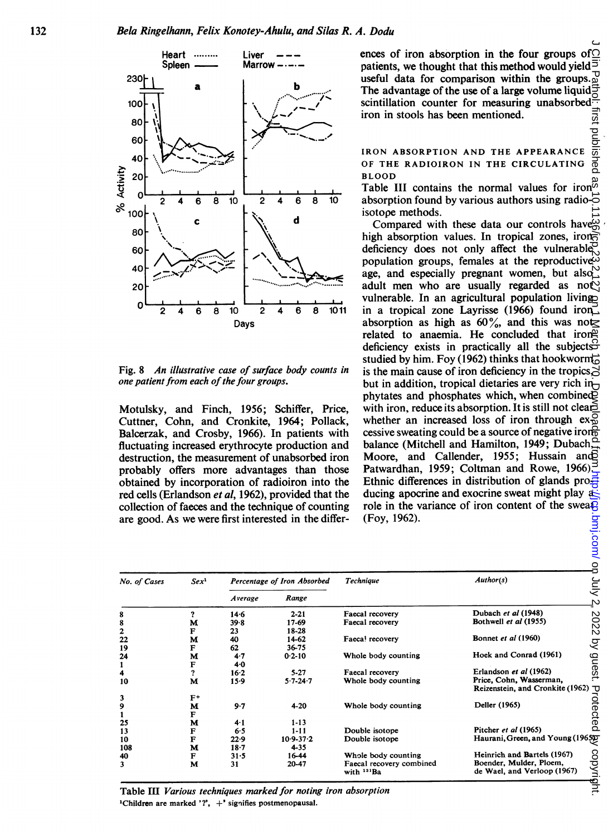

Fig. 8 An illustrative case of surface body counts in one patient from each of the four groups.

Motulsky, and Finch, 1956; Schiffer, Price, Cuttner, Cohn, and Cronkite, 1964; Pollack, Balcerzak, and Crosby, 1966). In patients with fluctuating increased erythrocyte production and destruction, the measurement of unabsorbed iron probably offers more advantages than those obtained by incorporation of radioiron into the red cells (Erlandson et al, 1962), provided that the collection of faeces and the technique of counting are good. As we were first interested in the differences of iron absorption in the four groups of  $\cap$ patients, we thought that this method would yield  $\overline{5}$ useful data for comparison within the groups. $_{\omega}^{\square}$ The advantage of the use of a large volume liquid  $\overline{5}$ scintillation counter for measuring unabsorbed $\equiv$ iron in stools has been mentioned.

IRON ABSORPTION AND THE APPEARANCE lishec OF THE RADIOIRON IN THE CIRCULATING BLOOD

Table III contains the normal values for iron<sup> $\bar{\omega}$ </sup> absorption found by various authors using radio- $\vec{\circ}$ isotope methods.

Compared with these data our controls have high absorption values. In tropical zones, iron deficiency does not only affect the vulnerable. population groups, females at the reproductive $\ddot{\omega}$ age, and especially pregnant women, but also<sup>1</sup>. adult men who are usually regarded as not vulnerable. In an agricultural population living in a tropical zone Layrisse (1966) found iron absorption as high as  $60\%$ , and this was not related to anaemia. He concluded that iron deficiency exists in practically all the subjects  $\overleftrightarrow{S}$ studied by him. Foy (1962) thinks that hookworm is the main cause of iron deficiency in the tropics, but in addition, tropical dietaries are very rich in phytates and phosphates which, when combined with iron, reduce its absorption. It is still not clearwhether an increased loss of iron through  $ex_{\mathcal{D}}^{\mathcal{Q}}$ cessive sweating could be a source of negative iron balance (Mitchell and Hamilton, 1949; Dubach, Moore, and Callender, 1955; Hussain and Patwardhan, 1959; Coltman and Rowe, 1966). Ethnic differences in distribution of glands pro $\frac{3}{2}$ ducing apocrine and exocrine sweat might play a role in the variance of iron content of the swea $\overline{B}$ (Foy, 1962).

| No. of Cases            | Sex <sup>1</sup> | Percentage of Iron Absorbed |               | <b>Technique</b>         | Author(s)                        |       |
|-------------------------|------------------|-----------------------------|---------------|--------------------------|----------------------------------|-------|
|                         |                  | Average                     | Range         |                          |                                  |       |
| 8                       |                  | 14.6                        | $2 - 21$      | Faecal recovery          | Dubach et al (1948)              |       |
| 8                       | м                | 39.8                        | 17-69         | Faecal recovery          | Bothwell et al (1955)            |       |
| $\overline{\mathbf{c}}$ | F                | 23                          | 18-28         |                          |                                  |       |
| 22                      | м                | 40                          | 14-62         | Faeca! recovery          | Bonnet et al (1960)              |       |
| 19                      | F                | 62                          | 36-75         |                          |                                  |       |
| 24                      | M                | 4.7                         | $0.2 - 10$    | Whole body counting      | Hoek and Conrad (1961)           | ဠ     |
|                         | F                | 4.0                         |               |                          |                                  |       |
| 4                       | ?                | 16.2                        | $5 - 27$      | Faecal recovery          | Erlandson et al (1962)           | က္တ   |
| 10                      | M                | 15.9                        | $5.7 - 24.7$  | Whole body counting      | Price, Cohn, Wasserman,          |       |
|                         |                  |                             |               |                          | Reizenstein, and Cronkite (1962) |       |
| 3                       | $F^+$            |                             |               |                          |                                  |       |
| 9                       | м                | 9.7                         | $4 - 20$      | Whole body counting      | Deller (1965)                    |       |
|                         | F                |                             |               |                          |                                  |       |
| 25                      | м                | 4.1                         | $1 - 13$      |                          |                                  |       |
| 13                      | F                | 6.5                         | $1 - 11$      | Double isotope           | Pitcher et al (1965)             |       |
| 10                      | F                | 22.9                        | $10.9 - 37.2$ | Double isotope           | Haurani, Green, and Young (1965) |       |
| 108                     | м                | $18 - 7$                    | $4 - 35$      |                          |                                  |       |
| 40                      | F                | 31.5                        | 16-44         | Whole body counting      | Heinrich and Bartels (1967)      |       |
| 3                       | M                | 31                          | 20-47         | Faecal recovery combined | Boender, Mulder, Ploem,          | copyr |
|                         |                  |                             |               | with <sup>131</sup> Ba   | de Wael, and Verloop (1967)      |       |

Table III Various techniques marked for noting iron absorption 'Children are marked '?', +' signifies postmenopausal.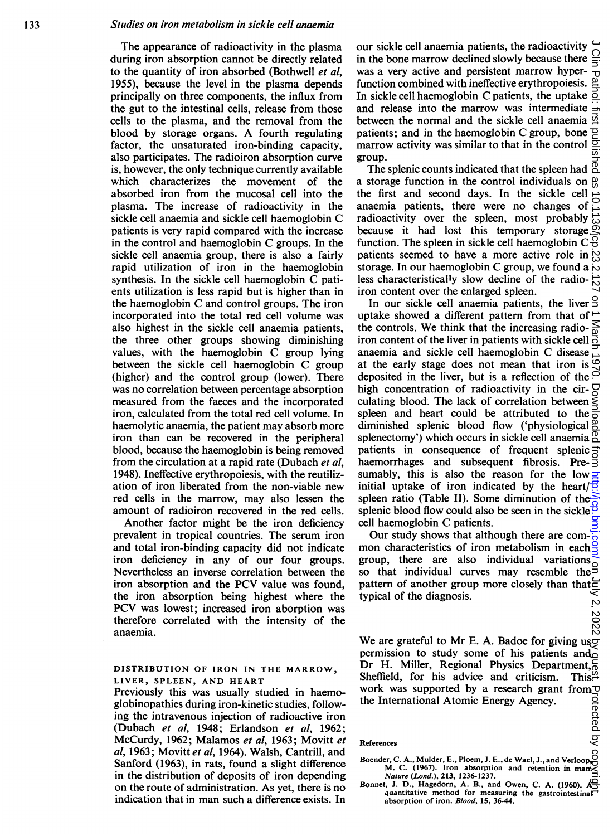The appearance of radioactivity in the plasma during iron absorption cannot be directly related to the quantity of iron absorbed (Bothwell et al, 1955), because the level in the plasma depends principally on three components, the influx from the gut to the intestinal cells, release from those cells to the plasma, and the removal from the blood by storage organs. A fourth regulating factor, the unsaturated iron-binding capacity, also participates. The radioiron absorption curve is, however, the only technique currently available which characterizes the movement of the absorbed iron from the mucosal cell into the plasma. The increase of radioactivity in the sickle cell anaemia and sickle cell haemoglobin C patients is very rapid compared with the increase in the control and haemoglobin C groups. In the sickle cell anaemia group, there is also a fairly rapid utilization of iron in the haemoglobin synthesis. In the sickle cell haemoglobin C patients utilization is less rapid but is higher than in the haemoglobin C and control groups. The iron incorporated into the total red cell volume was also highest in the sickle cell anaemia patients, the three other groups showing diminishing values, with the haemoglobin C group lying between the sickle cell haemoglobin C group (higher) and the control group (lower). There was no correlation between percentage absorption measured from the faeces and the incorporated iron, calculated from the total red cell volume. In haemolytic anaemia, the patient may absorb more iron than can be recovered in the peripheral blood, because the haemoglobin is being removed from the circulation at a rapid rate (Dubach et al, 1948). Ineffective erythropoiesis, with the reutilization of iron liberated from the non-viable new red cells in the marrow, may also lessen the amount of radioiron recovered in the red cells.

Another factor might be the iron deficiency prevalent in tropical countries. The serum iron and total iron-binding capacity did not indicate iron deficiency in any of our four groups. Nevertheless an inverse correlation between the iron absorption and the PCV value was found, the iron absorption being highest where the PCV was lowest; increased iron aborption was therefore correlated with the intensity of the anaemia.

DISTRIBUTION OF IRON IN THE MARROW, LIVER, SPLEEN, AND HEART

Previously this was usually studied in haemoglobinopathies during iron-kinetic studies, following the intravenous injection of radioactive iron (Dubach et al, 1948; Erlandson et al, 1962; McCurdy, 1962; Malamos et al, 1963; Movitt et al, 1963; Movitt et al, 1964). Walsh, Cantrill, and Sanford (1963), in rats, found a slight difference in the distribution of deposits of iron depending on the route of administration. As yet, there is no indication that in man such a difference exists. In our sickle cell anaemia patients, the radioactivity  $\overline{\overline{C}}$  in the bone marrow declined slowly because there  $\overline{\overline{C}}$ in the bone marrow declined slowly because there was a very active and persistent marrow hyperfunction combined with ineffective erythropoiesis. In sickle cell haemoglobin C patients, the uptake  $\leq$ and release into the marrow was intermediate between the normal and the sickle cell anaemia  $\vec{\Omega}$ patients; and in the haemoglobin C group, bone  $\mathbb{Z}$ marrow activity was similar to that in the control  $\frac{1}{2}$ group.

The splenic counts indicated that the spleen had  $^{\circ}$ a storage function in the control individuals on g the first and second days. In the sickle cell anaemia patients, there were no changes of radioactivity over the spleen, most probably because it had lost this temporary storage function. The spleen in sickle cell haemoglobin  $C\overline{S}$ patients seemed to have a more active role in  $\frac{1}{6}$ storage. In our haemoglobin C group, we found a  $\overline{\omega}$ less characteristically slow decline of the radio- $\frac{1}{6}$ iron content over the enlarged spleen.

In our sickle cell anaemia patients, the liver 9 uptake showed a different pattern from that of  $\triangle$ the controls. We think that the increasing radio- $\mathbb{R}$ iron content of the liver in patients with sickle cell  $\overline{G}$ anaemia and sickle cell haemoglobin C disease at the early stage does not mean that iron is  $\mathcal{Q}$ deposited in the liver, but is a reflection of the  $\Im$ high concentration of radioactivity in the cir- $\overline{Q}$ culating blood. The lack of correlation between  $\leq$ spleen and heart could be attributed to the  $\frac{3}{6}$ diminished splenic blood flow ('physiological  $\frac{\delta}{\Delta}$ splenectomy') which occurs in sickle cell anaemia  $\frac{\alpha}{2}$ patients in consequence of frequent splenic $\vec{a}$ haemorrhages and subsequent fibrosis. Presumably, this is also the reason for the low  $\equiv$ initial uptake of iron indicated by the heart/ $\overline{6}$ spleen ratio (Table II). Some diminution of the splenic blood flow could also be seen in the sickle<sup> $\ddot{\circ}$ </sup> cell haemoglobin C patients. on Handi: Inst published as 10.1136/jcp.23.2.127 on 1 March 1970. Downloaded from <http://jcp.bmj.com/> On July 2, 2022 by guest Protected by copyright.

Our study shows that although there are common characteristics of iron metabolism in each $\frac{8}{3}$ group, there are also individual variations so that individual curves may resemble the pattern of another group more closely than that typical of the diagnosis. ن,

w<br>  $\bigotimes_{N=0}^{N=0}$ <br>We are grateful to Mr E. A. Badoe for giving usp permission to study some of his patients ando Dr H. Miller, Regional Physics Department,  $\overline{6}$ Sheffield, for his advice and criticism. This<sup>22</sup> work was supported by a research grant from the International Atomic Energy Agency.

#### References

- Exercises<br>Boender, C. A., Mulder, E., Ploem, J. E., de Wael, J., and Verloop,<br>M. (1967). Jron, absorption, and retention in many M. C. (1967). Iron absorption and retention in man. Nature (Lond.), 213, 1236-1237.
- Bonnet, J. D., Hagedorn, A. B., and Owen, C. A. (1960).  $A<sub>2</sub>$ quantitative method for measuring the gastrointestinal absorption of iron. Blood, 15, 36-44.